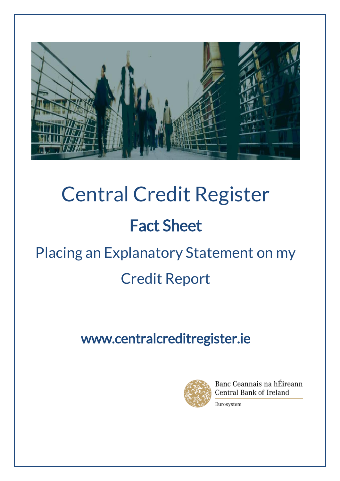

# Central Credit Register Fact Sheet Placing an Explanatory Statement on my Credit Report

## www.centralcreditregister.ie



Banc Ceannais na hÉireann Central Bank of Ireland

Eurosystem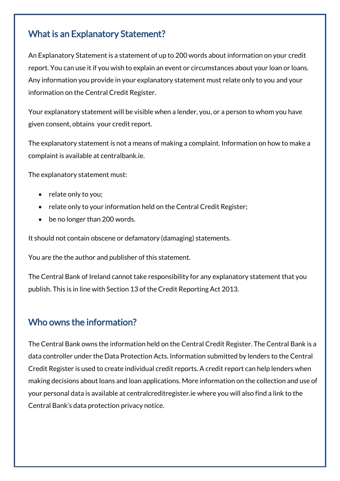#### What is an Explanatory Statement?

An Explanatory Statement is a statement of up to 200 words about information on your credit report. You can use it if you wish to explain an event or circumstances about your loan or loans. Any information you provide in your explanatory statement must relate only to you and your information on the Central Credit Register.

Your explanatory statement will be visible when a lender, you, or a person to whom you have given consent, obtains your credit report.

The explanatory statement is not a means of making a complaint. Information on how to make a complaint is available at centralbank.ie.

The explanatory statement must:

- relate only to you;
- relate only to your information held on the Central Credit Register;
- be no longer than 200 words.

It should not contain obscene or defamatory (damaging) statements.

You are the the author and publisher of this statement.

The Central Bank of Ireland cannot take responsibility for any explanatory statement that you publish. This is in line with Section 13 of the Credit Reporting Act 2013.

#### Who owns the information?

The Central Bank owns the information held on the Central Credit Register. The Central Bank is a data controller under the Data Protection Acts. Information submitted by lenders to the Central Credit Register is used to create individual credit reports. A credit report can help lenders when making decisions about loans and loan applications. More information on the collection and use of your personal data is available at [centralcreditregister.ie](https://www.centralcreditregister.ie/borrower-area/data-protection) where you will also find a link to the Central Bank's data protection privacy notice.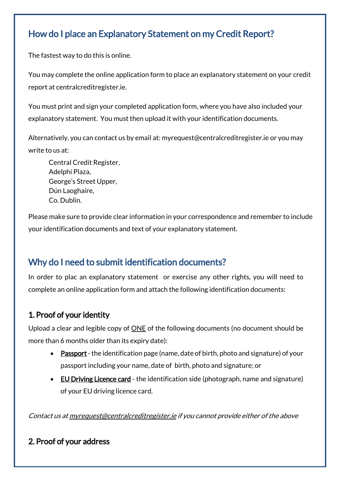#### How do I place an Explanatory Statement on my Credit Report?

The fastest way to do this is online.

You may complete the online application form to place an explanatory statement on your credit report at centralcreditregister.ie.

You must print and sign your completed application form, where you have also included your explanatory statement. You must then upload it with your identification documents.

Alternatively, you can contact us by email at: myrequest@centralcreditregister.ie or you may write to us at:

Central Credit Register, Adelphi Plaza, George's Street Upper, Dún Laoghaire, Co. Dublin.

Please make sure to provide clear information in your correspondence and remember to include your identification documents and text of your explanatory statement.

#### Why do I need to submit identification documents?

In order to plac an explanatory statement or exercise any other rights, you will need to complete an online application form and attach the following identification documents:

#### 1. Proof of your identity

Upload a clear and legible copy of ONE of the following documents (no document should be more than 6 months older than its expiry date):

- Passport the identification page (name, date of birth, photo and signature) of your passport including your name, date of birth, photo and signature; or
- EU Driving Licence card the identification side (photograph, name and signature) of your EU driving licence card.

Contact us a[t myrequest@centralcreditregister.ie](mailto:myrequest@centralcreditregister.ie) if you cannot provide either of the above

#### 2. Proof of your address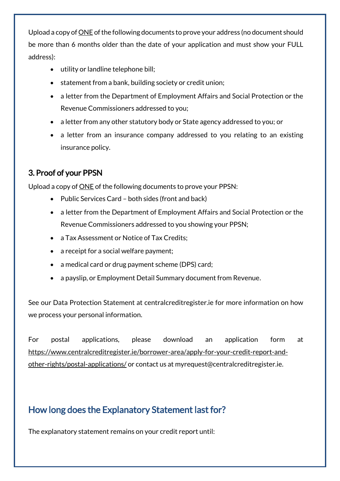Upload a copy of **ONE** of the following documents to prove your address (no document should be more than 6 months older than the date of your application and must show your FULL address):

- utility or landline telephone bill;
- statement from a bank, building society or credit union;
- a letter from the Department of Employment Affairs and Social Protection or the Revenue Commissioners addressed to you;
- a letter from any other statutory body or State agency addressed to you; or
- a letter from an insurance company addressed to you relating to an existing insurance policy.

#### 3. Proof of your PPSN

Upload a copy of ONE of the following documents to prove your PPSN:

- Public Services Card both sides (front and back)
- a letter from the Department of Employment Affairs and Social Protection or the Revenue Commissioners addressed to you showing your PPSN;
- a Tax Assessment or Notice of Tax Credits;
- a receipt for a social welfare payment;
- a medical card or drug payment scheme (DPS) card;
- a payslip, or Employment Detail Summary document from Revenue.

See our Data Protection Statement at centralcreditregister.ie for more information on how we process your personal information.

For postal applications, please download an application form at [https://www.centralcreditregister.ie/borrower-area/apply-for-your-credit-report-and](https://www.centralcreditregister.ie/borrower-area/apply-for-your-credit-report-and-other-rights/postal-applications/)[other-rights/postal-applications/](https://www.centralcreditregister.ie/borrower-area/apply-for-your-credit-report-and-other-rights/postal-applications/) or contact us at myrequest@centralcreditregister.ie.

#### How long does the Explanatory Statement last for?

The explanatory statement remains on your credit report until: